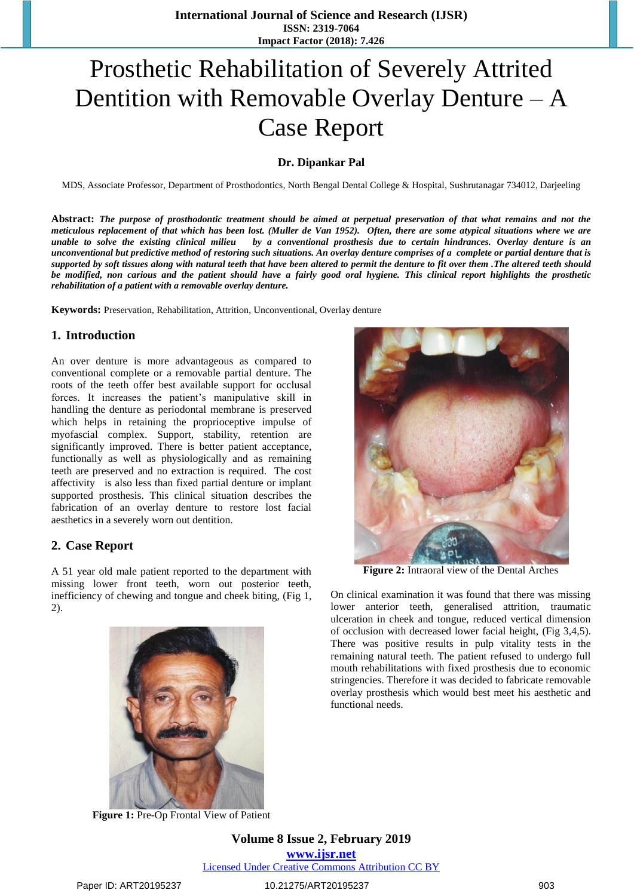# Prosthetic Rehabilitation of Severely Attrited Dentition with Removable Overlay Denture – A Case Report

#### **Dr. Dipankar Pal**

MDS, Associate Professor, Department of Prosthodontics, North Bengal Dental College & Hospital, Sushrutanagar 734012, Darjeeling

**Abstract:** *The purpose of prosthodontic treatment should be aimed at perpetual preservation of that what remains and not the meticulous replacement of that which has been lost. (Muller de Van 1952). Often, there are some atypical situations where we are unable to solve the existing clinical milieu by a conventional prosthesis due to certain hindrances. Overlay denture is an unconventional but predictive method of restoring such situations. An overlay denture comprises of a complete or partial denture that is supported by soft tissues along with natural teeth that have been altered to permit the denture to fit over them .The altered teeth should be modified, non carious and the patient should have a fairly good oral hygiene. This clinical report highlights the prosthetic rehabilitation of a patient with a removable overlay denture.*

**Keywords:** Preservation, Rehabilitation, Attrition, Unconventional, Overlay denture

#### **1. Introduction**

An over denture is more advantageous as compared to conventional complete or a removable partial denture. The roots of the teeth offer best available support for occlusal forces. It increases the patient's manipulative skill in handling the denture as periodontal membrane is preserved which helps in retaining the proprioceptive impulse of myofascial complex. Support, stability, retention are significantly improved. There is better patient acceptance, functionally as well as physiologically and as remaining teeth are preserved and no extraction is required. The cost affectivity is also less than fixed partial denture or implant supported prosthesis. This clinical situation describes the fabrication of an overlay denture to restore lost facial aesthetics in a severely worn out dentition.

#### **2. Case Report**

A 51 year old male patient reported to the department with missing lower front teeth, worn out posterior teeth, inefficiency of chewing and tongue and cheek biting, (Fig 1, 2).



**Figure 1:** Pre-Op Frontal View of Patient

**Volume 8 Issue 2, February 2019 www.ijsr.net** Licensed Under Creative Commons Attribution CC BY

#### Paper ID: ART20195237 10.21275/ART20195237 903



**Figure 2:** Intraoral view of the Dental Arches

On clinical examination it was found that there was missing lower anterior teeth, generalised attrition, traumatic ulceration in cheek and tongue, reduced vertical dimension of occlusion with decreased lower facial height, (Fig 3,4,5). There was positive results in pulp vitality tests in the remaining natural teeth. The patient refused to undergo full mouth rehabilitations with fixed prosthesis due to economic stringencies. Therefore it was decided to fabricate removable overlay prosthesis which would best meet his aesthetic and functional needs.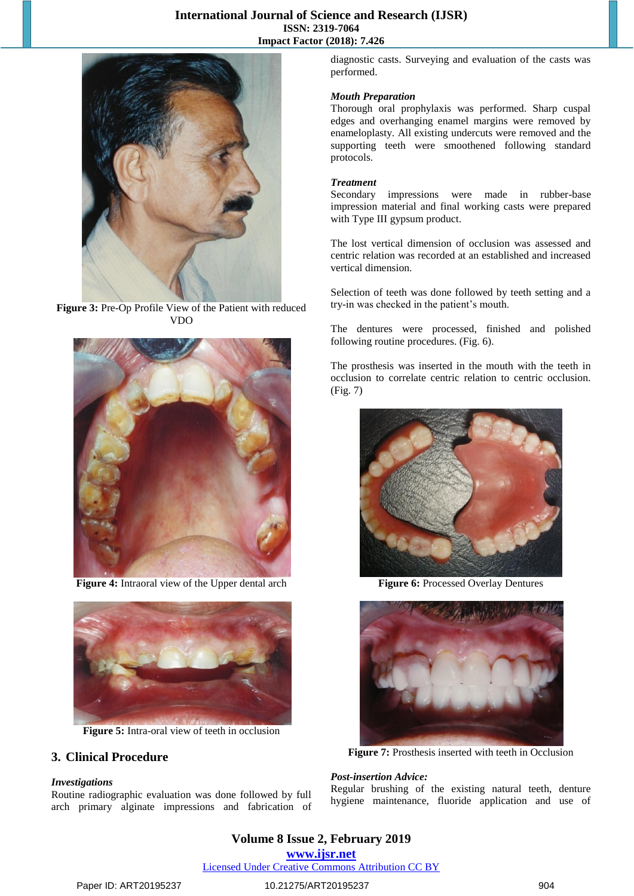### **International Journal of Science and Research (IJSR) ISSN: 2319-7064 Impact Factor (2018): 7.426**



Figure 3: Pre-Op Profile View of the Patient with reduced VDO



**Figure 4:** Intraoral view of the Upper dental arch



**Figure 5:** Intra-oral view of teeth in occlusion

#### **3. Clinical Procedure**

#### *Investigations*

Routine radiographic evaluation was done followed by full arch primary alginate impressions and fabrication of diagnostic casts. Surveying and evaluation of the casts was performed.

#### *Mouth Preparation*

Thorough oral prophylaxis was performed. Sharp cuspal edges and overhanging enamel margins were removed by enameloplasty. All existing undercuts were removed and the supporting teeth were smoothened following standard protocols.

#### *Treatment*

Secondary impressions were made in rubber-base impression material and final working casts were prepared with Type III gypsum product.

The lost vertical dimension of occlusion was assessed and centric relation was recorded at an established and increased vertical dimension.

Selection of teeth was done followed by teeth setting and a try-in was checked in the patient's mouth.

The dentures were processed, finished and polished following routine procedures. (Fig. 6).

The prosthesis was inserted in the mouth with the teeth in occlusion to correlate centric relation to centric occlusion. (Fig. 7)



**Figure 6:** Processed Overlay Dentures



**Figure 7:** Prosthesis inserted with teeth in Occlusion

#### *Post-insertion Advice:*

Regular brushing of the existing natural teeth, denture hygiene maintenance, fluoride application and use of

# **Volume 8 Issue 2, February 2019 www.ijsr.net**

Licensed Under Creative Commons Attribution CC BY

#### Paper ID: ART20195237 10.21275/ART20195237 904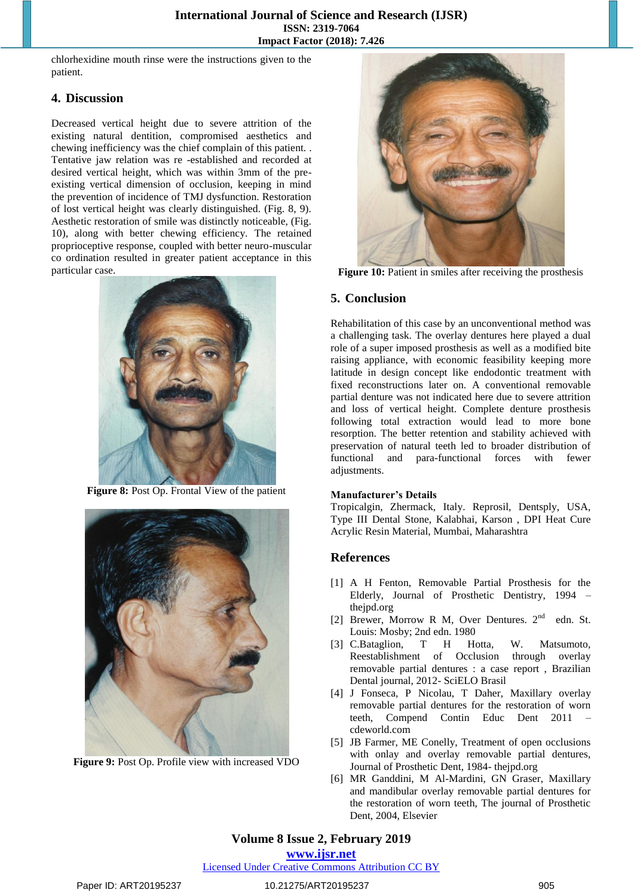chlorhexidine mouth rinse were the instructions given to the patient.

#### **4. Discussion**

Decreased vertical height due to severe attrition of the existing natural dentition, compromised aesthetics and chewing inefficiency was the chief complain of this patient. . Tentative jaw relation was re -established and recorded at desired vertical height, which was within 3mm of the preexisting vertical dimension of occlusion, keeping in mind the prevention of incidence of TMJ dysfunction. Restoration of lost vertical height was clearly distinguished. (Fig. 8, 9). Aesthetic restoration of smile was distinctly noticeable, (Fig. 10), along with better chewing efficiency. The retained proprioceptive response, coupled with better neuro-muscular co ordination resulted in greater patient acceptance in this particular case.



**Figure 8:** Post Op. Frontal View of the patient



**Figure 9:** Post Op. Profile view with increased VDO



**Figure 10:** Patient in smiles after receiving the prosthesis

#### **5. Conclusion**

Rehabilitation of this case by an unconventional method was a challenging task. The overlay dentures here played a dual role of a super imposed prosthesis as well as a modified bite raising appliance, with economic feasibility keeping more latitude in design concept like endodontic treatment with fixed reconstructions later on. A conventional removable partial denture was not indicated here due to severe attrition and loss of vertical height. Complete denture prosthesis following total extraction would lead to more bone resorption. The better retention and stability achieved with preservation of natural teeth led to broader distribution of functional and para-functional forces with fewer adjustments.

#### **Manufacturer's Details**

Tropicalgin, Zhermack, Italy. Reprosil, Dentsply, USA, Type III Dental Stone, Kalabhai, Karson , DPI Heat Cure Acrylic Resin Material, Mumbai, Maharashtra

#### **References**

- [1] A H Fenton, Removable Partial Prosthesis for the Elderly, Journal of Prosthetic Dentistry, 1994 – thejpd.org
- [2] Brewer, Morrow R M, Over Dentures. 2nd edn. St. Louis: Mosby; 2nd edn. 1980
- [3] C.Bataglion, T H Hotta, W. Matsumoto, Reestablishment of Occlusion through overlay removable partial dentures : a case report , Brazilian Dental journal, 2012- SciELO Brasil
- [4] J Fonseca, P Nicolau, T Daher, Maxillary overlay removable partial dentures for the restoration of worn teeth, Compend Contin Educ Dent 2011 – cdeworld.com
- [5] JB Farmer, ME Conelly, Treatment of open occlusions with onlay and overlay removable partial dentures, Journal of Prosthetic Dent, 1984- thejpd.org
- [6] MR Ganddini, M Al-Mardini, GN Graser, Maxillary and mandibular overlay removable partial dentures for the restoration of worn teeth, The journal of Prosthetic Dent, 2004, Elsevier

# **Volume 8 Issue 2, February 2019**

**www.ijsr.net**

Licensed Under Creative Commons Attribution CC BY